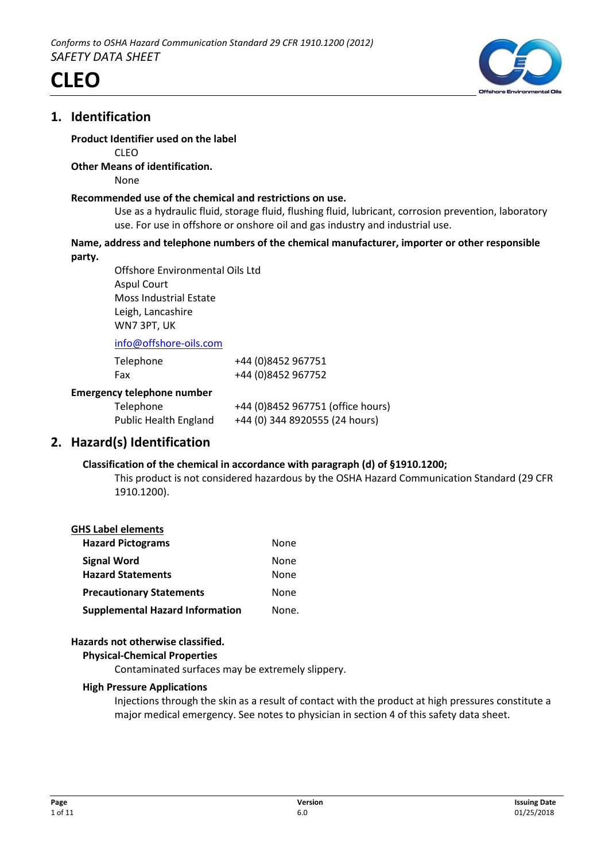





#### **Product Identifier used on the label**

CLEO

#### **Other Means of identification.**

None

#### **Recommended use of the chemical and restrictions on use.**

Use as a hydraulic fluid, storage fluid, flushing fluid, lubricant, corrosion prevention, laboratory use. For use in offshore or onshore oil and gas industry and industrial use.

#### **Name, address and telephone numbers of the chemical manufacturer, importer or other responsible party.**

Offshore Environmental Oils Ltd Aspul Court Moss Industrial Estate Leigh, Lancashire WN7 3PT, UK

info@offshore-oils.com

| Telephone<br>Fax                  | +44 (0)8452 967751<br>+44 (0)8452 967752 |
|-----------------------------------|------------------------------------------|
| <b>Emergency telephone number</b> |                                          |
| Telephone                         | +44 (0)8452 967751 (office hours)        |
| <b>Public Health England</b>      | +44 (0) 344 8920555 (24 hours)           |

## **2. Hazard(s) Identification**

#### **Classification of the chemical in accordance with paragraph (d) of §1910.1200;**

This product is not considered hazardous by the OSHA Hazard Communication Standard (29 CFR 1910.1200).

#### **GHS Label elements**

| <b>Hazard Pictograms</b>               | None  |
|----------------------------------------|-------|
| <b>Signal Word</b>                     | None  |
| <b>Hazard Statements</b>               | None  |
| <b>Precautionary Statements</b>        | None  |
| <b>Supplemental Hazard Information</b> | None. |

#### **Hazards not otherwise classified.**

#### **Physical-Chemical Properties**

Contaminated surfaces may be extremely slippery.

#### **High Pressure Applications**

Injections through the skin as a result of contact with the product at high pressures constitute a major medical emergency. See notes to physician in section 4 of this safety data sheet.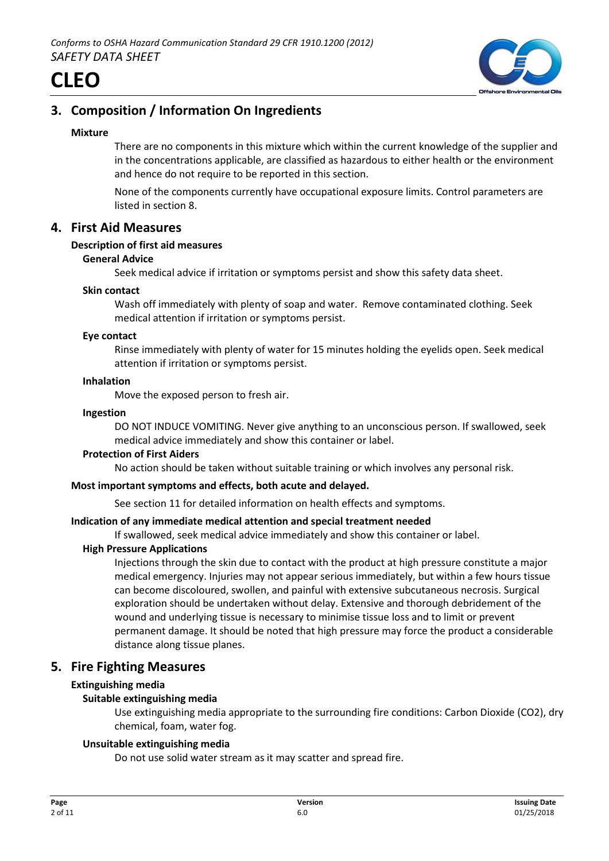

## **3. Composition / Information On Ingredients**

#### **Mixture**

There are no components in this mixture which within the current knowledge of the supplier and in the concentrations applicable, are classified as hazardous to either health or the environment and hence do not require to be reported in this section.

None of the components currently have occupational exposure limits. Control parameters are listed in section 8.

## **4. First Aid Measures**

#### **Description of first aid measures**

#### **General Advice**

Seek medical advice if irritation or symptoms persist and show this safety data sheet.

#### **Skin contact**

Wash off immediately with plenty of soap and water. Remove contaminated clothing. Seek medical attention if irritation or symptoms persist.

#### **Eye contact**

Rinse immediately with plenty of water for 15 minutes holding the eyelids open. Seek medical attention if irritation or symptoms persist.

#### **Inhalation**

Move the exposed person to fresh air.

#### **Ingestion**

DO NOT INDUCE VOMITING. Never give anything to an unconscious person. If swallowed, seek medical advice immediately and show this container or label.

#### **Protection of First Aiders**

No action should be taken without suitable training or which involves any personal risk.

#### **Most important symptoms and effects, both acute and delayed.**

See section 11 for detailed information on health effects and symptoms.

#### **Indication of any immediate medical attention and special treatment needed**

If swallowed, seek medical advice immediately and show this container or label.

#### **High Pressure Applications**

Injections through the skin due to contact with the product at high pressure constitute a major medical emergency. Injuries may not appear serious immediately, but within a few hours tissue can become discoloured, swollen, and painful with extensive subcutaneous necrosis. Surgical exploration should be undertaken without delay. Extensive and thorough debridement of the wound and underlying tissue is necessary to minimise tissue loss and to limit or prevent permanent damage. It should be noted that high pressure may force the product a considerable distance along tissue planes.

## **5. Fire Fighting Measures**

#### **Extinguishing media**

#### **Suitable extinguishing media**

Use extinguishing media appropriate to the surrounding fire conditions: Carbon Dioxide (CO2), dry chemical, foam, water fog.

#### **Unsuitable extinguishing media**

Do not use solid water stream as it may scatter and spread fire.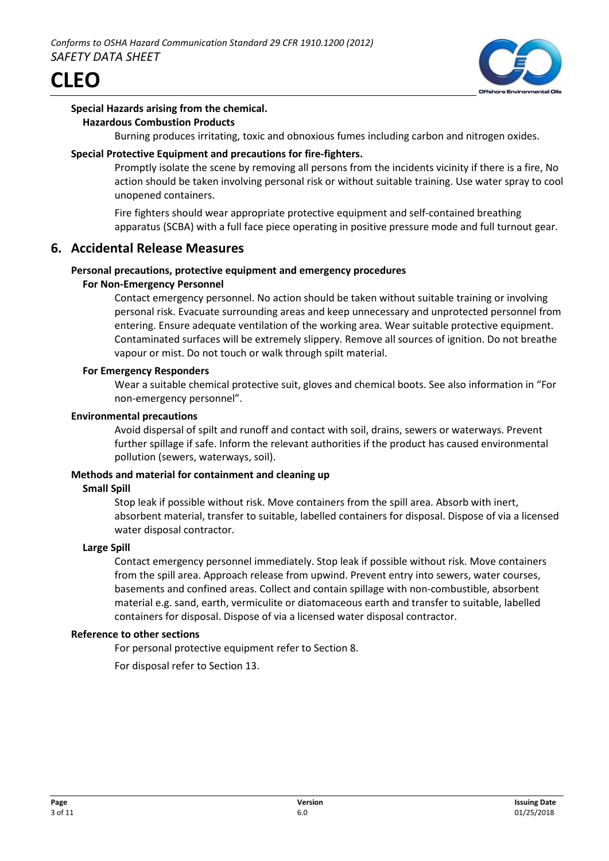

#### **Special Hazards arising from the chemical. Hazardous Combustion Products**

Burning produces irritating, toxic and obnoxious fumes including carbon and nitrogen oxides.

#### **Special Protective Equipment and precautions for fire-fighters.**

Promptly isolate the scene by removing all persons from the incidents vicinity if there is a fire, No action should be taken involving personal risk or without suitable training. Use water spray to cool unopened containers.

Fire fighters should wear appropriate protective equipment and self-contained breathing apparatus (SCBA) with a full face piece operating in positive pressure mode and full turnout gear.

## **6. Accidental Release Measures**

#### **Personal precautions, protective equipment and emergency procedures**

#### **For Non-Emergency Personnel**

Contact emergency personnel. No action should be taken without suitable training or involving personal risk. Evacuate surrounding areas and keep unnecessary and unprotected personnel from entering. Ensure adequate ventilation of the working area. Wear suitable protective equipment. Contaminated surfaces will be extremely slippery. Remove all sources of ignition. Do not breathe vapour or mist. Do not touch or walk through spilt material.

#### **For Emergency Responders**

Wear a suitable chemical protective suit, gloves and chemical boots. See also information in "For non-emergency personnel".

#### **Environmental precautions**

Avoid dispersal of spilt and runoff and contact with soil, drains, sewers or waterways. Prevent further spillage if safe. Inform the relevant authorities if the product has caused environmental pollution (sewers, waterways, soil).

#### **Methods and material for containment and cleaning up**

#### **Small Spill**

Stop leak if possible without risk. Move containers from the spill area. Absorb with inert, absorbent material, transfer to suitable, labelled containers for disposal. Dispose of via a licensed water disposal contractor.

#### **Large Spill**

Contact emergency personnel immediately. Stop leak if possible without risk. Move containers from the spill area. Approach release from upwind. Prevent entry into sewers, water courses, basements and confined areas. Collect and contain spillage with non-combustible, absorbent material e.g. sand, earth, vermiculite or diatomaceous earth and transfer to suitable, labelled containers for disposal. Dispose of via a licensed water disposal contractor.

#### **Reference to other sections**

For personal protective equipment refer to Section 8.

For disposal refer to Section 13.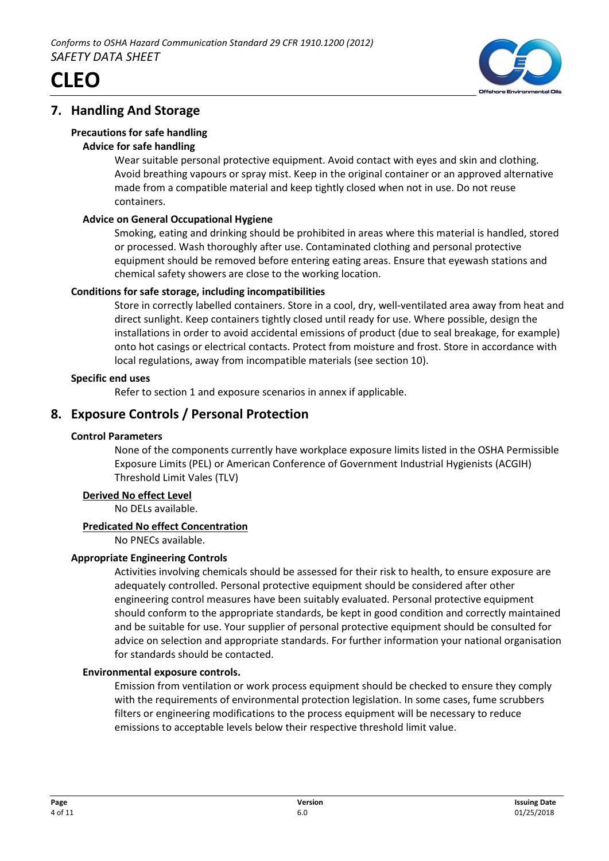



## **7. Handling And Storage**

#### **Precautions for safe handling**

#### **Advice for safe handling**

Wear suitable personal protective equipment. Avoid contact with eyes and skin and clothing. Avoid breathing vapours or spray mist. Keep in the original container or an approved alternative made from a compatible material and keep tightly closed when not in use. Do not reuse containers.

#### **Advice on General Occupational Hygiene**

Smoking, eating and drinking should be prohibited in areas where this material is handled, stored or processed. Wash thoroughly after use. Contaminated clothing and personal protective equipment should be removed before entering eating areas. Ensure that eyewash stations and chemical safety showers are close to the working location.

#### **Conditions for safe storage, including incompatibilities**

Store in correctly labelled containers. Store in a cool, dry, well-ventilated area away from heat and direct sunlight. Keep containers tightly closed until ready for use. Where possible, design the installations in order to avoid accidental emissions of product (due to seal breakage, for example) onto hot casings or electrical contacts. Protect from moisture and frost. Store in accordance with local regulations, away from incompatible materials (see section 10).

#### **Specific end uses**

Refer to section 1 and exposure scenarios in annex if applicable.

## **8. Exposure Controls / Personal Protection**

#### **Control Parameters**

None of the components currently have workplace exposure limits listed in the OSHA Permissible Exposure Limits (PEL) or American Conference of Government Industrial Hygienists (ACGIH) Threshold Limit Vales (TLV)

#### **Derived No effect Level**

No DELs available.

## **Predicated No effect Concentration**

No PNECs available.

#### **Appropriate Engineering Controls**

Activities involving chemicals should be assessed for their risk to health, to ensure exposure are adequately controlled. Personal protective equipment should be considered after other engineering control measures have been suitably evaluated. Personal protective equipment should conform to the appropriate standards, be kept in good condition and correctly maintained and be suitable for use. Your supplier of personal protective equipment should be consulted for advice on selection and appropriate standards. For further information your national organisation for standards should be contacted.

## **Environmental exposure controls.**

Emission from ventilation or work process equipment should be checked to ensure they comply with the requirements of environmental protection legislation. In some cases, fume scrubbers filters or engineering modifications to the process equipment will be necessary to reduce emissions to acceptable levels below their respective threshold limit value.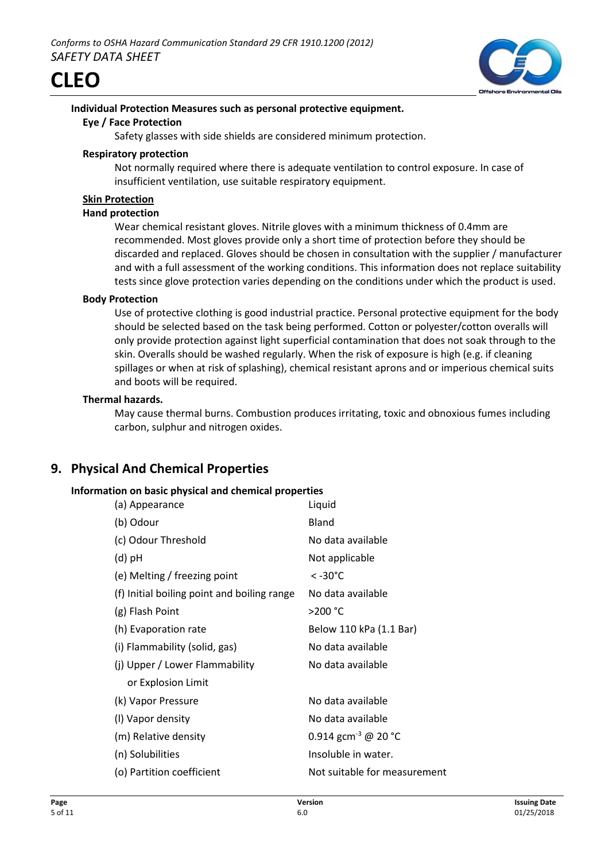



## **Individual Protection Measures such as personal protective equipment.**

#### **Eye / Face Protection**

Safety glasses with side shields are considered minimum protection.

#### **Respiratory protection**

Not normally required where there is adequate ventilation to control exposure. In case of insufficient ventilation, use suitable respiratory equipment.

#### **Skin Protection**

#### **Hand protection**

Wear chemical resistant gloves. Nitrile gloves with a minimum thickness of 0.4mm are recommended. Most gloves provide only a short time of protection before they should be discarded and replaced. Gloves should be chosen in consultation with the supplier / manufacturer and with a full assessment of the working conditions. This information does not replace suitability tests since glove protection varies depending on the conditions under which the product is used.

#### **Body Protection**

Use of protective clothing is good industrial practice. Personal protective equipment for the body should be selected based on the task being performed. Cotton or polyester/cotton overalls will only provide protection against light superficial contamination that does not soak through to the skin. Overalls should be washed regularly. When the risk of exposure is high (e.g. if cleaning spillages or when at risk of splashing), chemical resistant aprons and or imperious chemical suits and boots will be required.

#### **Thermal hazards.**

May cause thermal burns. Combustion produces irritating, toxic and obnoxious fumes including carbon, sulphur and nitrogen oxides.

## **9. Physical And Chemical Properties**

#### **Information on basic physical and chemical properties**

| (a) Appearance                              | Liquid                          |
|---------------------------------------------|---------------------------------|
| (b) Odour                                   | Bland                           |
| (c) Odour Threshold                         | No data available               |
| (d) pH                                      | Not applicable                  |
| (e) Melting / freezing point                | $< -30^{\circ}$ C               |
| (f) Initial boiling point and boiling range | No data available               |
| (g) Flash Point                             | >200 °C                         |
| (h) Evaporation rate                        | Below 110 kPa (1.1 Bar)         |
| (i) Flammability (solid, gas)               | No data available               |
| (j) Upper / Lower Flammability              | No data available               |
| or Explosion Limit                          |                                 |
| (k) Vapor Pressure                          | No data available               |
| (I) Vapor density                           | No data available               |
| (m) Relative density                        | 0.914 gcm <sup>-3</sup> @ 20 °C |
| (n) Solubilities                            | Insoluble in water.             |
| (o) Partition coefficient                   | Not suitable for measurement    |
|                                             |                                 |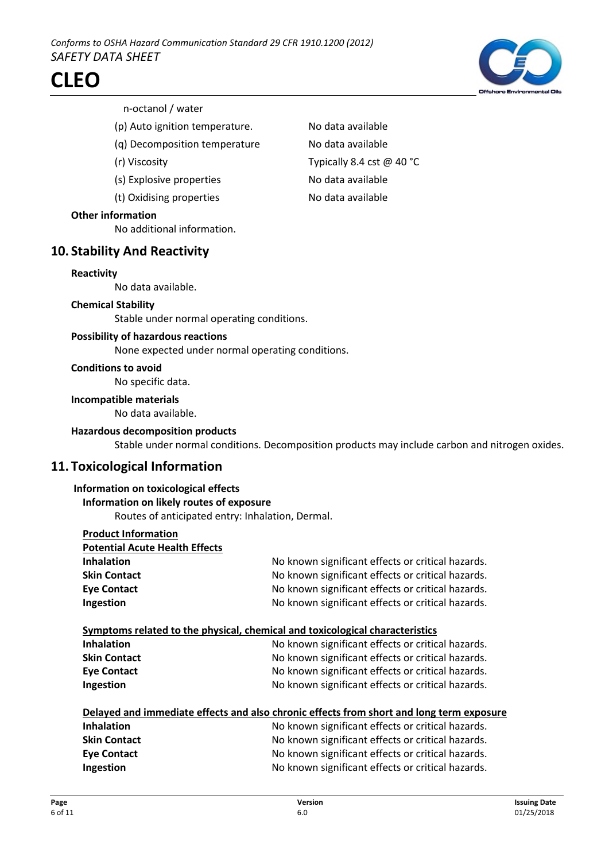

#### n-octanol / water

- (p) Auto ignition temperature. No data available
- (q) Decomposition temperature No data available
- 
- (s) Explosive properties No data available
- (t) Oxidising properties No data available

#### **Other information**

No additional information.

#### **10. Stability And Reactivity**

#### **Reactivity**

No data available.

#### **Chemical Stability**

Stable under normal operating conditions.

#### **Possibility of hazardous reactions**

None expected under normal operating conditions.

#### **Conditions to avoid**

No specific data.

#### **Incompatible materials**

No data available.

#### **Hazardous decomposition products**

Stable under normal conditions. Decomposition products may include carbon and nitrogen oxides.

## **11. Toxicological Information**

#### **Information on toxicological effects**

#### **Information on likely routes of exposure**

Routes of anticipated entry: Inhalation, Dermal.

| <b>Product Information</b>            |                                                                                          |
|---------------------------------------|------------------------------------------------------------------------------------------|
| <b>Potential Acute Health Effects</b> |                                                                                          |
| <b>Inhalation</b>                     | No known significant effects or critical hazards.                                        |
| <b>Skin Contact</b>                   | No known significant effects or critical hazards.                                        |
| <b>Eye Contact</b>                    | No known significant effects or critical hazards.                                        |
| Ingestion                             | No known significant effects or critical hazards.                                        |
|                                       | Symptoms related to the physical, chemical and toxicological characteristics             |
| <b>Inhalation</b>                     | No known significant effects or critical hazards.                                        |
| <b>Skin Contact</b>                   | No known significant effects or critical hazards.                                        |
| <b>Eye Contact</b>                    | No known significant effects or critical hazards.                                        |
| Ingestion                             | No known significant effects or critical hazards.                                        |
|                                       | Delayed and immediate effects and also chronic effects from short and long term exposure |
| <b>Inhalation</b>                     | No known significant effects or critical hazards.                                        |
| <b>Skin Contact</b>                   | No known significant effects or critical hazards.                                        |
| <b>Eye Contact</b>                    | No known significant effects or critical hazards.                                        |
| Ingestion                             | No known significant effects or critical hazards.                                        |

(r) Viscosity Typically 8.4 cst @ 40 °C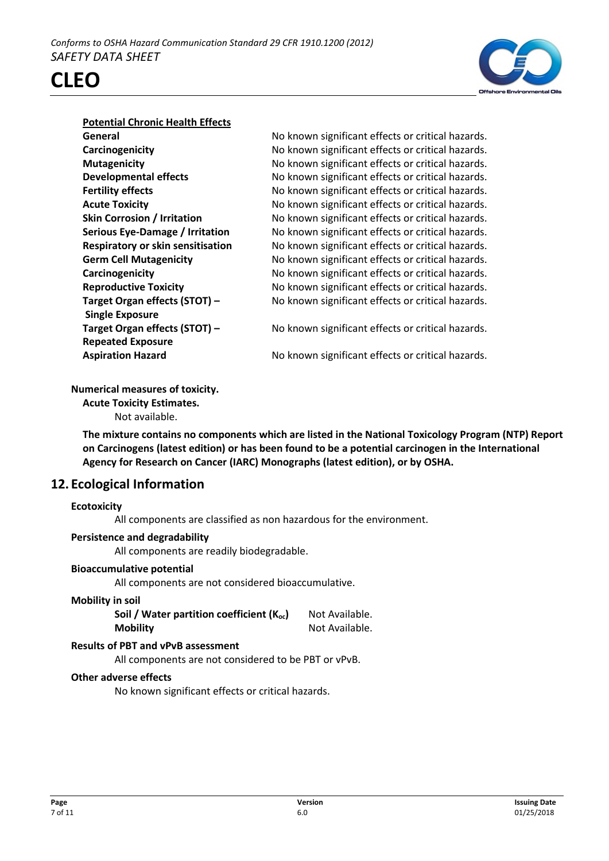

## **Potential Chronic Health Effects**

**CLEO**

No known significant effects or critical hazards. No known significant effects or critical hazards. No known significant effects or critical hazards. No known significant effects or critical hazards. No known significant effects or critical hazards. No known significant effects or critical hazards. No known significant effects or critical hazards. **Serious Eye-Damage / Irritation** No known significant effects or critical hazards. **Respiratory or skin sensitisation** No known significant effects or critical hazards. No known significant effects or critical hazards. No known significant effects or critical hazards. No known significant effects or critical hazards. No known significant effects or critical hazards.

No known significant effects or critical hazards.

No known significant effects or critical hazards.

#### **Numerical measures of toxicity.**

**Acute Toxicity Estimates.** Not available.

**The mixture contains no components which are listed in the National Toxicology Program (NTP) Report on Carcinogens (latest edition) or has been found to be a potential carcinogen in the International Agency for Research on Cancer (IARC) Monographs (latest edition), or by OSHA.**

## **12. Ecological Information**

#### **Ecotoxicity**

All components are classified as non hazardous for the environment.

#### **Persistence and degradability**

All components are readily biodegradable.

#### **Bioaccumulative potential**

All components are not considered bioaccumulative.

#### **Mobility in soil**

| Soil / Water partition coefficient $(K_{oc})$ | Not Available. |
|-----------------------------------------------|----------------|
| <b>Mobility</b>                               | Not Available. |

#### **Results of PBT and vPvB assessment**

All components are not considered to be PBT or vPvB.

#### **Other adverse effects**

No known significant effects or critical hazards.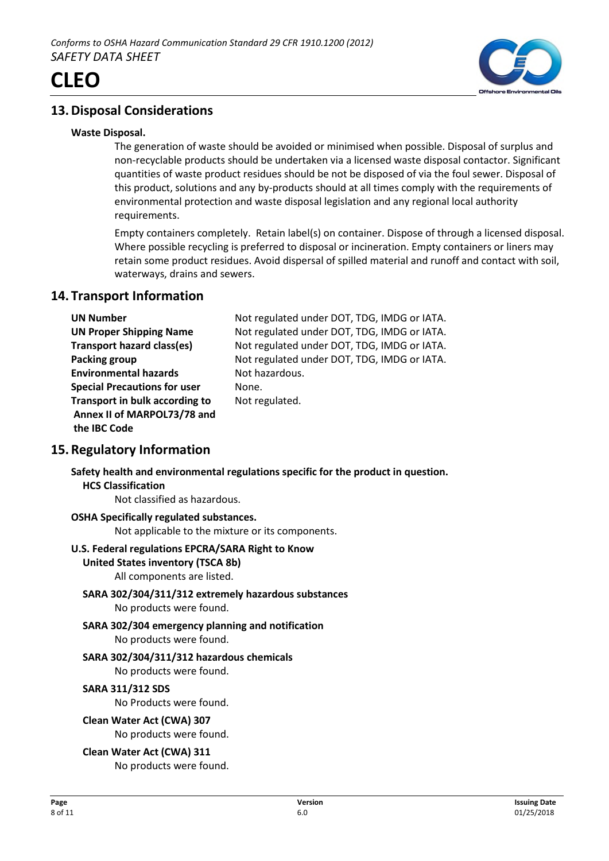

## **13.Disposal Considerations**

#### **Waste Disposal.**

The generation of waste should be avoided or minimised when possible. Disposal of surplus and non-recyclable products should be undertaken via a licensed waste disposal contactor. Significant quantities of waste product residues should be not be disposed of via the foul sewer. Disposal of this product, solutions and any by-products should at all times comply with the requirements of environmental protection and waste disposal legislation and any regional local authority requirements.

Empty containers completely. Retain label(s) on container. Dispose of through a licensed disposal. Where possible recycling is preferred to disposal or incineration. Empty containers or liners may retain some product residues. Avoid dispersal of spilled material and runoff and contact with soil, waterways, drains and sewers.

## **14. Transport Information**

| <b>UN Number</b>                    | Not regulated under DOT, TDG, IMDG or IATA. |
|-------------------------------------|---------------------------------------------|
| <b>UN Proper Shipping Name</b>      | Not regulated under DOT, TDG, IMDG or IATA. |
| <b>Transport hazard class(es)</b>   | Not regulated under DOT, TDG, IMDG or IATA. |
| Packing group                       | Not regulated under DOT, TDG, IMDG or IATA. |
| <b>Environmental hazards</b>        | Not hazardous.                              |
| <b>Special Precautions for user</b> | None.                                       |
| Transport in bulk according to      | Not regulated.                              |
| Annex II of MARPOL73/78 and         |                                             |
| the IBC Code                        |                                             |
|                                     |                                             |

## **15.Regulatory Information**

#### **Safety health and environmental regulations specific for the product in question. HCS Classification**

Not classified as hazardous.

## **OSHA Specifically regulated substances.**

Not applicable to the mixture or its components.

#### **U.S. Federal regulations EPCRA/SARA Right to Know**

#### **United States inventory (TSCA 8b)**

All components are listed.

#### **SARA 302/304/311/312 extremely hazardous substances** No products were found.

#### **SARA 302/304 emergency planning and notification** No products were found.

## **SARA 302/304/311/312 hazardous chemicals**

No products were found.

## **SARA 311/312 SDS**

No Products were found.

## **Clean Water Act (CWA) 307**

No products were found.

## **Clean Water Act (CWA) 311**

No products were found.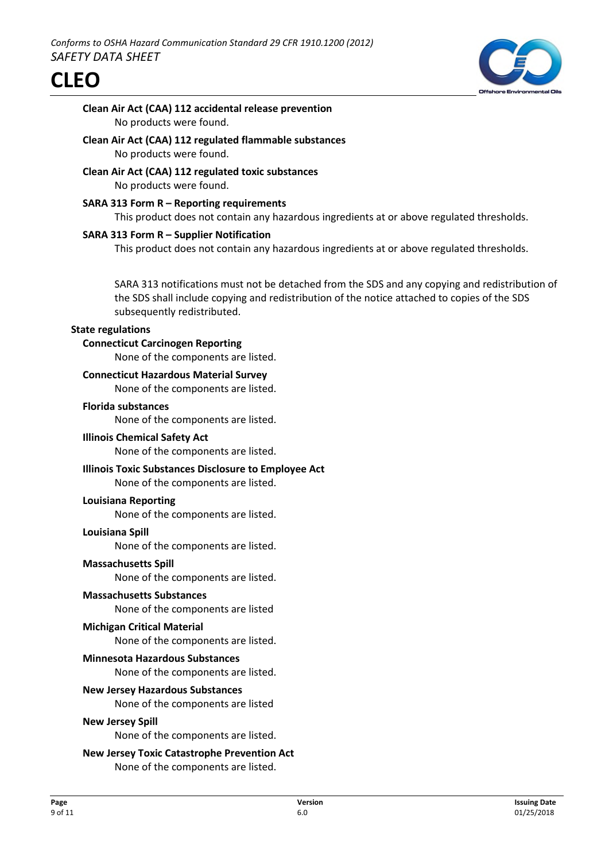

## **Clean Air Act (CAA) 112 accidental release prevention** No products were found.

- **Clean Air Act (CAA) 112 regulated flammable substances** No products were found.
- **Clean Air Act (CAA) 112 regulated toxic substances** No products were found.
- **SARA 313 Form R Reporting requirements** This product does not contain any hazardous ingredients at or above regulated thresholds.

#### **SARA 313 Form R – Supplier Notification**

This product does not contain any hazardous ingredients at or above regulated thresholds.

SARA 313 notifications must not be detached from the SDS and any copying and redistribution of the SDS shall include copying and redistribution of the notice attached to copies of the SDS subsequently redistributed.

#### **State regulations**

#### **Connecticut Carcinogen Reporting**

None of the components are listed.

#### **Connecticut Hazardous Material Survey**

None of the components are listed.

#### **Florida substances**

None of the components are listed.

#### **Illinois Chemical Safety Act**

None of the components are listed.

#### **Illinois Toxic Substances Disclosure to Employee Act**

None of the components are listed.

#### **Louisiana Reporting**

None of the components are listed.

#### **Louisiana Spill**

None of the components are listed.

#### **Massachusetts Spill**

None of the components are listed.

#### **Massachusetts Substances**

None of the components are listed

#### **Michigan Critical Material**

None of the components are listed.

#### **Minnesota Hazardous Substances**

None of the components are listed.

#### **New Jersey Hazardous Substances**

None of the components are listed

#### **New Jersey Spill**

None of the components are listed.

## **New Jersey Toxic Catastrophe Prevention Act**

None of the components are listed.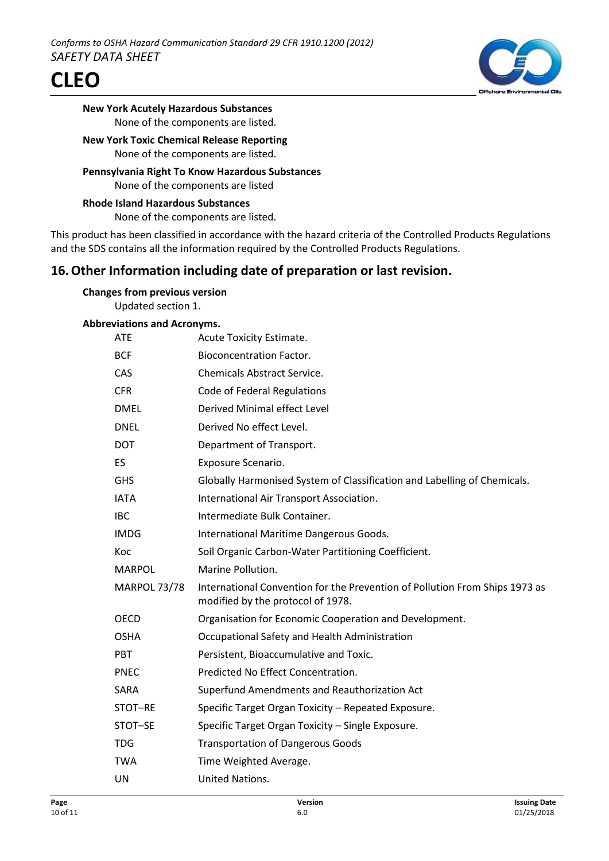



**New York Acutely Hazardous Substances** None of the components are listed.

#### **New York Toxic Chemical Release Reporting** None of the components are listed.

**Pennsylvania Right To Know Hazardous Substances** None of the components are listed

**Rhode Island Hazardous Substances** None of the components are listed.

This product has been classified in accordance with the hazard criteria of the Controlled Products Regulations and the SDS contains all the information required by the Controlled Products Regulations.

## **16.Other Information including date of preparation or last revision.**

| <b>Changes from previous version</b> |  |
|--------------------------------------|--|
| Updated section 1.                   |  |

#### **Abbreviations and Acronyms.**

| <b>ATE</b>          | Acute Toxicity Estimate.                                                                                         |
|---------------------|------------------------------------------------------------------------------------------------------------------|
| <b>BCF</b>          | <b>Bioconcentration Factor.</b>                                                                                  |
| CAS                 | <b>Chemicals Abstract Service.</b>                                                                               |
| <b>CFR</b>          | Code of Federal Regulations                                                                                      |
| <b>DMEL</b>         | Derived Minimal effect Level                                                                                     |
| <b>DNEL</b>         | Derived No effect Level.                                                                                         |
| <b>DOT</b>          | Department of Transport.                                                                                         |
| ES                  | Exposure Scenario.                                                                                               |
| <b>GHS</b>          | Globally Harmonised System of Classification and Labelling of Chemicals.                                         |
| <b>IATA</b>         | International Air Transport Association.                                                                         |
| <b>IBC</b>          | Intermediate Bulk Container.                                                                                     |
| <b>IMDG</b>         | International Maritime Dangerous Goods.                                                                          |
| Koc                 | Soil Organic Carbon-Water Partitioning Coefficient.                                                              |
|                     |                                                                                                                  |
| <b>MARPOL</b>       | Marine Pollution.                                                                                                |
| <b>MARPOL 73/78</b> | International Convention for the Prevention of Pollution From Ships 1973 as<br>modified by the protocol of 1978. |
| <b>OECD</b>         | Organisation for Economic Cooperation and Development.                                                           |
| <b>OSHA</b>         | Occupational Safety and Health Administration                                                                    |
| <b>PBT</b>          | Persistent, Bioaccumulative and Toxic.                                                                           |
| <b>PNEC</b>         | Predicted No Effect Concentration.                                                                               |
| SARA                | Superfund Amendments and Reauthorization Act                                                                     |
| STOT-RE             | Specific Target Organ Toxicity - Repeated Exposure.                                                              |
| STOT-SE             | Specific Target Organ Toxicity - Single Exposure.                                                                |
| <b>TDG</b>          | <b>Transportation of Dangerous Goods</b>                                                                         |
| <b>TWA</b>          | Time Weighted Average.                                                                                           |
| UN                  | United Nations.                                                                                                  |